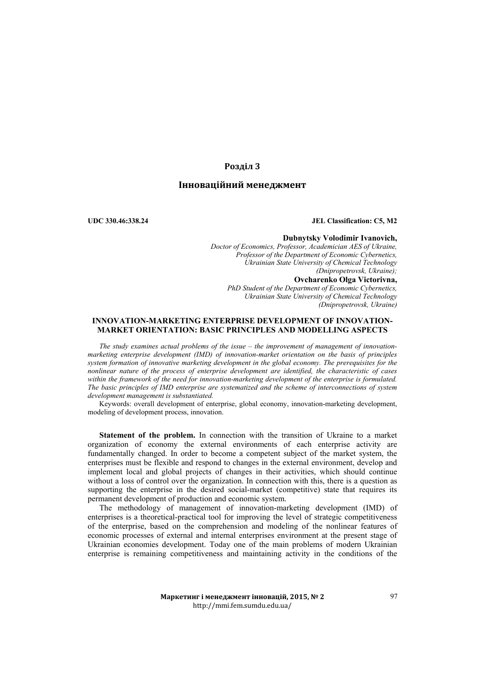# **Розділ 3**

# **Інноваційний менеджмент**

**UDC 330.46:338.24 JEL Classification: C5, M2**

**Dubnytsky Volodimir Ivanovich,** *Doctor of Economics, Professor, Academician AES of Ukraine, Professor of the Department of Economic Cybernetics, Ukrainian State University of Chemical Technology (Dnipropetrovsk, Ukraine);*

**Ovcharenko Оlga Victorivna,**  *PhD Student of the Department of Economic Cybernetics, Ukrainian State University of Chemical Technology (Dnipropetrovsk, Ukraine)*

## **INNOVATION-MARKETING ENTERPRISE DEVELOPMENT OF INNOVATION-MARKET ORIENTATION: BASIC PRINCIPLES AND MODELLING ASPECTS**

*The study examines actual problems of the issue – the improvement of management of innovationmarketing enterprise development (IMD) of innovation-market orientation on the basis of principles system formation of innovative marketing development in the global economy. The prerequisites for the nonlinear nature of the process of enterprise development are identified, the characteristic of cases within the framework of the need for innovation-marketing development of the enterprise is formulated. The basic principles of IMD enterprise are systematized and the scheme of interconnections of system development management is substantiated.* 

Keywords: overall development of enterprise, global economy, innovation-marketing development, modeling of development process, innovation.

**Statement of the problem.** In connection with the transition of Ukraine to a market organization of economy the external environments of each enterprise activity are fundamentally changed. In order to become a competent subject of the market system, the enterprises must be flexible and respond to changes in the external environment, develop and implement local and global projects of changes in their activities, which should continue without a loss of control over the organization. In connection with this, there is a question as supporting the enterprise in the desired social-market (competitive) state that requires its permanent development of production and economic system.

The methodology of management of innovation-marketing development (ІМD) of enterprises is a theoretical-practical tool for improving the level of strategic competitiveness of the enterprise, based on the comprehension and modeling of the nonlinear features of economic processes of external and internal enterprises environment at the present stage of Ukrainian economies development. Today one of the main problems of modern Ukrainian enterprise is remaining competitiveness and maintaining activity in the conditions of the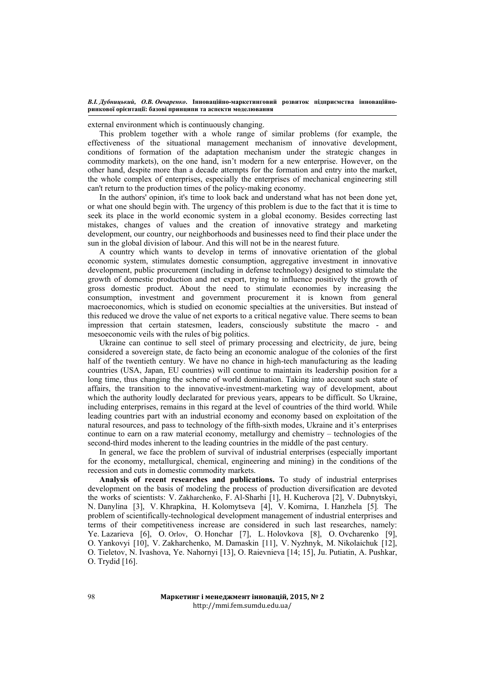external environment which is continuously changing.

This problem together with a whole range of similar problems (for example, the effectiveness of the situational management mechanism of innovative development, conditions of formation of the adaptation mechanism under the strategic changes in commodity markets), on the one hand, isn't modern for a new enterprise. However, on the other hand, despite more than a decade attempts for the formation and entry into the market, the whole complex of enterprises, especially the enterprises of mechanical engineering still can't return to the production times of the policy-making economy.

In the authors' opinion, it's time to look back and understand what has not been done yet, or what one should begin with. The urgency of this problem is due to the fact that it is time to seek its place in the world economic system in a global economy. Besides correcting last mistakes, changes of values and the creation of innovative strategy and marketing development, our country, our neighborhoods and businesses need to find their place under the sun in the global division of labour. And this will not be in the nearest future.

A country which wants to develop in terms of innovative orientation of the global economic system, stimulates domestic consumption, aggregative investment in innovative development, public procurement (including in defense technology) designed to stimulate the growth of domestic production and net export, trying to influence positively the growth of gross domestic product. About the need to stimulate economies by increasing the consumption, investment and government procurement it is known from general macroeconomics, which is studied on economic specialties at the universities. But instead of this reduced we drove the value of net exports to a critical negative value. There seems to bean impression that certain statesmen, leaders, consciously substitute the macro - and mesoeconomic veils with the rules of big politics.

Ukraine can continue to sell steel of primary processing and electricity, de jure, being considered a sovereign state, de facto being an economic analogue of the colonies of the first half of the twentieth century. We have no chance in high-tech manufacturing as the leading countries (USA, Japan, EU countries) will continue to maintain its leadership position for a long time, thus changing the scheme of world domination. Taking into account such state of affairs, the transition to the innovative-investment-marketing way of development, about which the authority loudly declarated for previous years, appears to be difficult. So Ukraine, including enterprises, remains in this regard at the level of countries of the third world. While leading countries part with an industrial economy and economy based on exploitation of the natural resources, and pass to technology of the fifth-sixth modes, Ukraine and it's enterprises continue to earn on a raw material economy, metallurgy and chemistry – technologies of the second-third modes inherent to the leading countries in the middle of the past century.

In general, we face the problem of survival of industrial enterprises (especially important for the economy, metallurgical, chemical, engineering and mining) in the conditions of the recession and cuts in domestic commodity markets.

**Analysis of recent researches and publications.** To study of industrial enterprises development on the basis of modeling the process of production diversification are devoted the works of scientists: V. Zakharchenko, F. Al-Sharhi [1], H. Kucherova [2], V. Dubnytskyi, N. Danylina [3], V. Khrapkina, H. Kolomytseva [4], V. Komirna, I. Hanzhela [5]*.* The problem of scientifically-technological development management of industrial enterprises and terms of their competitiveness increase are considered in such last researches, namely: Ye. Lazarieva [6], О. Orlov, О. Honchar [7], L. Holovkova [8], О. Оvcharenko [9], О. Yankovyi [10], V. Zakharchenko, М. Damaskin [11], V. Nyzhnyk, М. Nikolaichuk [12], О. Tieletov, N. Ivashova, Ye. Nahornyi [13], О. Raievnieva [14; 15], Ju. Putiatin, А. Pushkar, O. Trydid [16].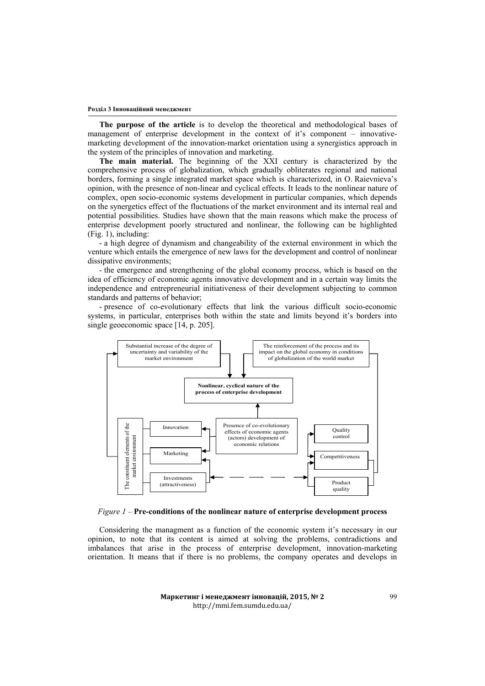**The purpose of the article** is to develop the theoretical and methodological bases of management of enterprise development in the context of it's component – innovativemarketing development of the innovation-market orientation using a synergistics approach in the system of the principles of innovation and marketing.

**The main material.** The beginning of the XXI century is characterized by the comprehensive process of globalization, which gradually obliterates regional and national borders, forming a single integrated market space which is characterized, in O. Raievnieva's opinion, with the presence of non-linear and cyclical effects. It leads to the nonlinear nature of complex, open socio-economic systems development in particular companies, which depends on the synergetics effect of the fluctuations of the market environment and its internal real and potential possibilities. Studies have shown that the main reasons which make the process of enterprise development poorly structured and nonlinear, the following can be highlighted (Fig. 1), including:

- a high degree of dynamism and changeability of the external environment in which the venture which entails the emergence of new laws for the development and control of nonlinear dissipative environments;

- the emergence and strengthening of the global economy process, which is based on the idea of efficiency of economic agents innovative development and in a certain way limits the independence and entrepreneurial initiativeness of their development subjecting to common standards and patterns of behavior;

- presence of co-evolutionary effects that link the various difficult socio-economic systems, in particular, enterprises both within the state and limits beyond it's borders into single geoeconomic space [14, p. 205].



## *Figure 1 –* **Pre-conditions of the nonlinear nature of enterprise development process**

Considering the managment as a function of the economic system it's necessary in our opinion, to note that its content is aimed at solving the problems, contradictions and imbalances that arise in the process of enterprise development, innovation-marketing orientation. It means that if there is no problems, the company operates and develops in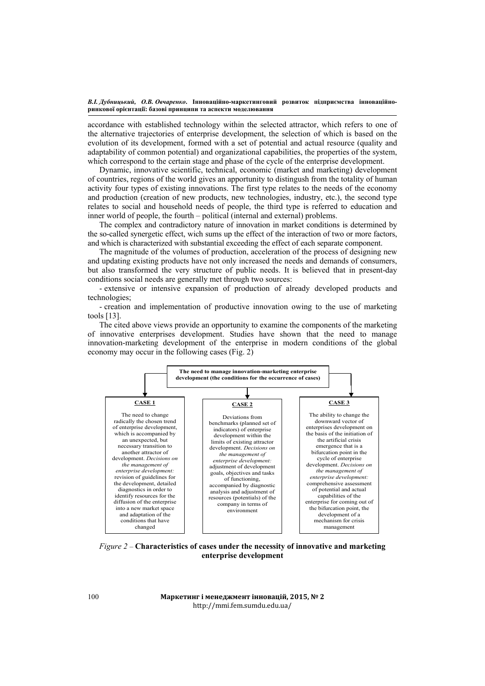accordance with established technology within the selected attractor, which refers to one of the alternative trajectories of enterprise development, the selection of which is based on the evolution of its development, formed with a set of potential and actual resource (quality and adaptability of common potential) and organizational capabilities, the properties of the system, which correspond to the certain stage and phase of the cycle of the enterprise development.

Dynamic, innovative scientific, technical, economic (market and marketing) development of countries, regions of the world gives an apportunity to distingush from the totality of human activity four types of existing innovations. The first type relates to the needs of the economy and production (creation of new products, new technologies, industry, etc.), the second type relates to social and household needs of people, the third type is referred to education and inner world of people, the fourth – political (internal and external) problems.

The complex and contradictory nature of innovation in market conditions is determined by the so-called synergetic effect, wich sums up the effect of the interaction of two or more factors, and which is characterized with substantial exceeding the effect of each separate component.

The magnitude of the volumes of production, acceleration of the process of designing new and updating existing products have not only increased the needs and demands of consumers, but also transformed the very structure of public needs. It is believed that in present-day conditions social needs are generally met through two sources:

- extensive or intensive expansion of production of already developed products and technologies;

- creation and implementation of productive innovation owing to the use of marketing tools [13].

The cited above views provide an opportunity to examine the components of the marketing of innovative enterprises development. Studies have shown that the need to manage innovation-marketing development of the enterprise in modern conditions of the global economy may occur in the following cases (Fig. 2)



*Figure 2 –* **Characteristics of cases under the necessity of innovative and marketing enterprise development**

**Маркетинг і менеджмент інновацій, 2015, № 2** http://mmi.fem.sumdu.edu.ua/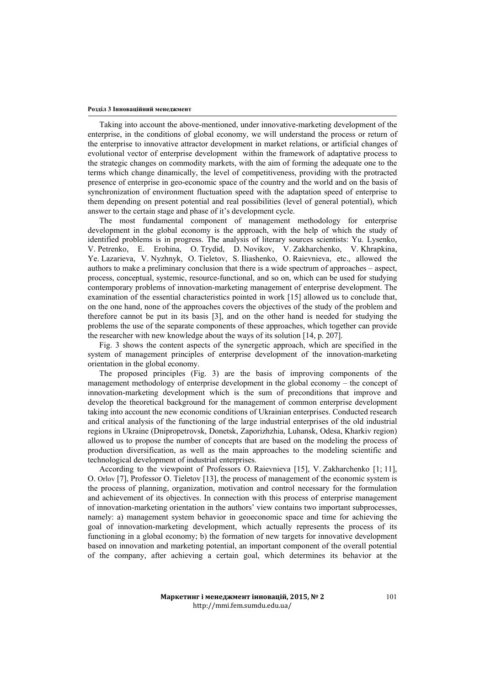Taking into account the above-mentioned, under innovative-marketing development of the enterprise, in the conditions of global economy, we will understand the process or return of the enterprise to innovative attractor development in market relations, or artificial changes of evolutional vector of enterprise development within the framework of adaptative process to the strategic changes on commodity markets, with the aim of forming the adequate one to the terms which change dinamically, the level of competitiveness, providing with the protracted presence of enterprise in geo-economic space of the country and the world and on the basis of synchronization of environment fluctuation speed with the adaptation speed of enterprise to them depending on present potential and real possibilities (level of general potential), which answer to the certain stage and phase of it's development cycle.

The most fundamental component of management methodology for enterprise development in the global economy is the approach, with the help of which the study of identified problems is in progress. The analysis of literary sources scientists: Yu. Lysenko, V. Petrenko, E. Erohina, O. Trydid, D. Novikov, V. Zakharchenko, V. Khrapkina, Ye. Lazarieva, V. Nyzhnyk, О. Tieletov, S. Iliashenko, O. Raievnieva, etc., allowed the authors to make a preliminary conclusion that there is a wide spectrum of approaches – aspect, process, conceptual, systemic, resource-functional, and so on, which can be used for studying contemporary problems of innovation-marketing management of enterprise development. The examination of the essential characteristics pointed in work [15] allowed us to conclude that, on the one hand, none of the approaches covers the objectives of the study of the problem and therefore cannot be put in its basis [3], and on the other hand is needed for studying the problems the use of the separate components of these approaches, which together can provide the researcher with new knowledge about the ways of its solution [14, p. 207].

Fig. 3 shows the content aspects of the synergetic approach, which are specified in the system of management principles of enterprise development of the innovation-marketing orientation in the global economy.

The proposed principles (Fig. 3) are the basis of improving components of the management methodology of enterprise development in the global economy – the concept of innovation-marketing development which is the sum of preconditions that improve and develop the theoretical background for the management of common enterprise development taking into account the new economic conditions of Ukrainian enterprises. Conducted research and critical analysis of the functioning of the large industrial enterprises of the old industrial regions in Ukraine (Dnipropetrovsk, Donetsk, Zaporizhzhia, Luhansk, Odesa, Kharkiv region) allowed us to propose the number of concepts that are based on the modeling the process of production diversification, as well as the main approaches to the modeling scientific and technological development of industrial enterprises.

According to the viewpoint of Professors O. Raievnieva [15], V. Zakharchenko [1; 11], O. Orlov [7], Professor О. Tieletov [13], the process of management of the economic system is the process of planning, organization, motivation and control necessary for the formulation and achievement of its objectives. In connection with this process of enterprise management of innovation-marketing orientation in the authors' view contains two important subprocesses, namely: а) management system behavior in geoeconomic space and time for achieving the goal of innovation-marketing development, which actually represents the process of its functioning in a global economy; b) the formation of new targets for innovative development based on innovation and marketing potential, an important component of the overall potential of the company, after achieving a certain goal, which determines its behavior at the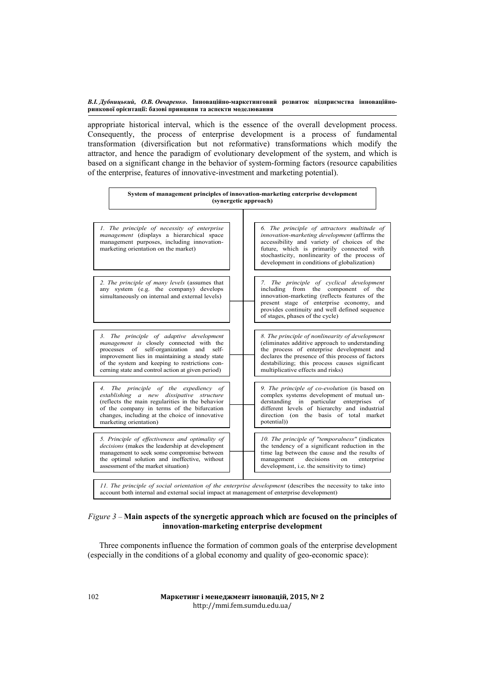appropriate historical interval, which is the essence of the overall development process. Consequently, the process of enterprise development is a process of fundamental transformation (diversification but not reformative) transformations which modify the attractor, and hence the paradigm of evolutionary development of the system, and which is based on a significant change in the behavior of system-forming factors (resource capabilities of the enterprise, features of innovative-investment and marketing potential).

| System of management principles of innovation-marketing enterprise development<br>(synergetic approach)                                                                                                                                                                                         |                                                                                                                                                                                                                                                                                           |
|-------------------------------------------------------------------------------------------------------------------------------------------------------------------------------------------------------------------------------------------------------------------------------------------------|-------------------------------------------------------------------------------------------------------------------------------------------------------------------------------------------------------------------------------------------------------------------------------------------|
| 1. The principle of necessity of enterprise<br><i>management</i> (displays a hierarchical space<br>management purposes, including innovation-<br>marketing orientation on the market)                                                                                                           | 6. The principle of attractors multitude of<br>innovation-marketing development (affirms the<br>accessibility and variety of choices of the<br>future, which is primarily connected with<br>stochasticity, nonlinearity of the process of<br>development in conditions of globalization)  |
| 2. The principle of many levels (assumes that<br>any system (e.g. the company) develops<br>simultaneously on internal and external levels)                                                                                                                                                      | 7. The principle of cyclical development<br>including from the component of the<br>innovation-marketing (reflects features of the<br>present stage of enterprise economy, and<br>provides continuity and well defined sequence<br>of stages, phases of the cycle)                         |
| 3. The principle of adaptive development<br>management is closely connected with the<br>processes of self-organization<br>and<br>self-<br>improvement lies in maintaining a steady state<br>of the system and keeping to restrictions con-<br>cerning state and control action at given period) | 8. The principle of nonlinearity of development<br>(eliminates additive approach to understanding<br>the process of enterprise development and<br>declares the presence of this process of factors<br>destabilizing; this process causes significant<br>multiplicative effects and risks) |
| The principle of the expediency of<br>4.<br>establishing a new dissipative structure<br>(reflects the main regularities in the behavior<br>of the company in terms of the bifurcation<br>changes, including at the choice of innovative<br>marketing orientation)                               | 9. The principle of co-evolution (is based on<br>complex systems development of mutual un-<br>derstanding in<br>particular enterprises<br>of<br>different levels of hierarchy and industrial<br>direction (on the basis of total market<br>potential)                                     |
| 5. Principle of effectiveness and optimality of<br>decisions (makes the leadership at development<br>management to seek some compromise between<br>the optimal solution and ineffective, without<br>assessment of the market situation)                                                         | 10. The principle of "temporalness" (indicates<br>the tendency of a significant reduction in the<br>time lag between the cause and the results of<br>decisions<br>management<br>on<br>enterprise<br>development, i.e. the sensitivity to time)                                            |
| 11. The principle of social orientation of the enterprise development (describes the necessity to take into<br>account both internal and external social impact at management of enterprise development)                                                                                        |                                                                                                                                                                                                                                                                                           |

## *Figure 3 –* **Main aspects of the synergetic approach which are focused on the principles of innovation-marketing enterprise development**

Three components influence the formation of common goals of the enterprise development (especially in the conditions of a global economy and quality of geo-economic space):

> **Маркетинг і менеджмент інновацій, 2015, № 2** http://mmi.fem.sumdu.edu.ua/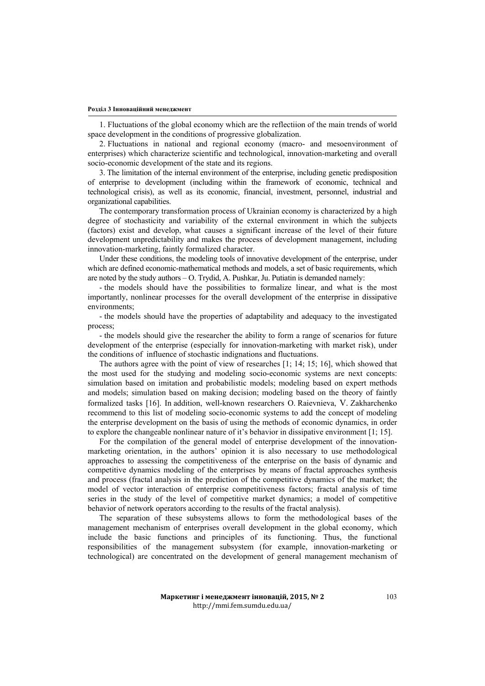1. Fluctuations of the global economy which are the reflectiion of the main trends of world space development in the conditions of progressive globalization.

2. Fluctuations in national and regional economy (macro- and mesoenvironment of enterprises) which characterize scientific and technological, innovation-marketing and overall socio-economic development of the state and its regions.

3. The limitation of the internal environment of the enterprise, including genetic predisposition of enterprise to development (including within the framework of economic, technical and technological crisis), as well as its economic, financial, investment, personnel, industrial and organizational capabilities.

The contemporary transformation process of Ukrainian economy is characterized by a high degree of stochasticity and variability of the external environment in which the subjects (factors) exist and develop, what causes a significant increase of the level of their future development unpredictability and makes the process of development management, including innovation-marketing, faintly formalized character.

Under these conditions, the modeling tools of innovative development of the enterprise, under which are defined economic-mathematical methods and models, a set of basic requirements, which are noted by the study authors – O. Trydid, А. Pushkar, Ju. Putiatin is demanded namely:

- the models should have the possibilities to formalize linear, and what is the most importantly, nonlinear processes for the overall development of the enterprise in dissipative environments;

- the models should have the properties of adaptability and adequacy to the investigated process;

- the models should give the researcher the ability to form a range of scenarios for future development of the enterprise (especially for innovation-marketing with market risk), under the conditions of influence of stochastic indignations and fluctuations.

The authors agree with the point of view of researches [1; 14; 15; 16], which showed that the most used for the studying and modeling socio-economic systems are next concepts: simulation based on imitation and probabilistic models; modeling based on expert methods and models; simulation based on making decision; modeling based on the theory of faintly formalized tasks [16]. In addition, well-known researchers O. Raievnieva, V. Zakharchenko recommend to this list of modeling socio-economic systems to add the concept of modeling the enterprise development on the basis of using the methods of economic dynamics, in order to explore the changeable nonlinear nature of it's behavior in dissipative environment [1; 15].

For the compilation of the general model of enterprise development of the innovationmarketing orientation, in the authors' opinion it is also necessary to use methodological approaches to assessing the competitiveness of the enterprise on the basis of dynamic and competitive dynamics modeling of the enterprises by means of fractal approaches synthesis and process (fractal analysis in the prediction of the competitive dynamics of the market; the model of vector interaction of enterprise competitiveness factors; fractal analysis of time series in the study of the level of competitive market dynamics; a model of competitive behavior of network operators according to the results of the fractal analysis).

The separation of these subsystems allows to form the methodological bases of the management mechanism of enterprises overall development in the global economy, which include the basic functions and principles of its functioning. Thus, the functional responsibilities of the management subsystem (for example, innovation-marketing or technological) are concentrated on the development of general management mechanism of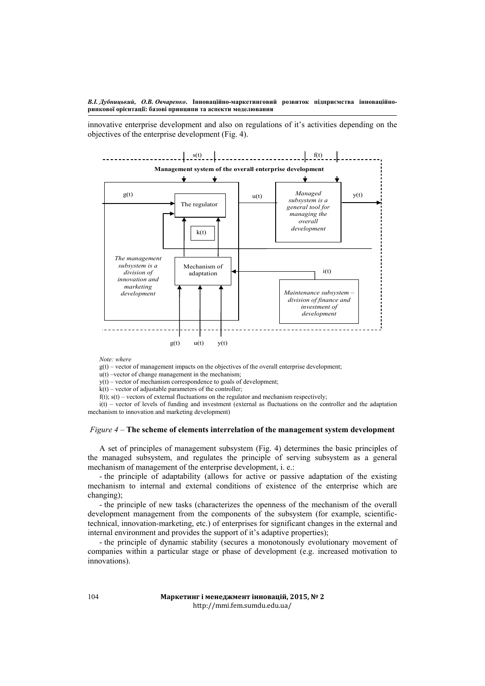innovative enterprise development and also on regulations of it's activities depending on the objectives of the enterprise development (Fig. 4).



*Note: where*

 $g(t)$  – vector of management impacts on the objectives of the overall enterprise development;

u(t) –vector of change management in the mechanism;

y(t) – vector of mechanism correspondence to goals of development;

 $k(t)$  – vector of adjustable parameters of the controller;

 $f(t)$ ;  $s(t)$  – vectors of external fluctuations on the regulator and mechanism respectively;

i(t) – vector of levels of funding and investment (external as fluctuations on the controller and the adaptation mechanism to innovation and marketing development)

## *Figure 4* – **The scheme of elements interrelation of the management system development**

A set of principles of management subsystem (Fig. 4) determines the basic principles of the managed subsystem, and regulates the principle of serving subsystem as a general mechanism of management of the enterprise development, i. e.:

- the principle of adaptability (allows for active or passive adaptation of the existing mechanism to internal and external conditions of existence of the enterprise which are changing);

- the principle of new tasks (characterizes the openness of the mechanism of the overall development management from the components of the subsystem (for example, scientifictechnical, innovation-marketing, etc.) of enterprises for significant changes in the external and internal environment and provides the support of it's adaptive properties);

- the principle of dynamic stability (secures a monotonously evolutionary movement of companies within a particular stage or phase of development (e.g. increased motivation to innovations).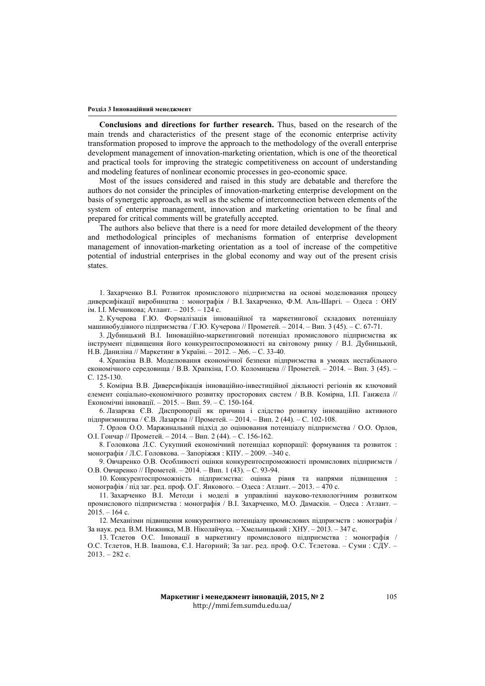**Conclusions and directions for further research.** Thus, based on the research of the main trends and characteristics of the present stage of the economic enterprise activity transformation proposed to improve the approach to the methodology of the overall enterprise development management of innovation-marketing orientation, which is one of the theoretical and practical tools for improving the strategic competitiveness on account of understanding and modeling features of nonlinear economic processes in geo-economic space.

Most of the issues considered and raised in this study are debatable and therefore the authors do not consider the principles of innovation-marketing enterprise development on the basis of synergetic approach, as well as the scheme of interconnection between elements of the system of enterprise management, innovation and marketing orientation to be final and prepared for critical comments will be gratefully accepted.

The authors also believe that there is a need for more detailed development of the theory and methodological principles of mechanisms formation of enterprise development management of innovation-marketing orientation as a tool of increase of the competitive potential of industrial enterprises in the global economy and way out of the present crisis states.

1. Захарченко В.І. Розвиток промислового підприємства на основі моделювання процесу диверсифікації виробництва : монографія / В.І. Захарченко, Ф.М. Аль-Шаргі. – Одеса : ОНУ ім. І.І. Мечникова; Атлант. – 2015. – 124 с.

2. Кучерова Г.Ю. Формалізація інноваційної та маркетингової складових потенціалу машинобудівного підприємства / Г.Ю. Кучерова // Прометей. – 2014. – Вип. 3 (45). – С. 67-71.

3. Дубницький В.І. Інноваційно-маркетинговий потенціал промислового підприємства як інструмент підвищення його конкурентоспроможності на світовому ринку / В.І. Дубницький, Н.В. Даниліна // Маркетинг в Україні. – 2012. – №6. – С. 33-40.

4. Храпкіна В.В. Моделювання економічної безпеки підприємства в умовах нестабільного економічного середовища / В.В. Храпкіна, Г.О. Коломицева // Прометей. – 2014. – Вип. 3 (45). – С. 125-130.

5. Комірна В.В. Диверсифікація інноваційно-інвестиційної діяльності регіонів як ключовий елемент соціально-економічного розвитку просторових систем / В.В. Комірна, І.П. Ганжела // Економічні інновації. – 2015. – Вип. 59. – С. 150-164.

6. Лазарєва Є.В. Диспропорції як причина і слідство розвитку інноваційно активного підприємництва / Є.В. Лазарєва // Прометей. – 2014. – Вип. 2 (44). – С. 102-108.

7. Орлов О.О. Маржинальний підхід до оцінювання потенціалу підприємства / О.О. Орлов, О.І. Гончар // Прометей. – 2014. – Вип. 2 (44). – С. 156-162.

8. Головкова Л.С. Сукупний економічний потенціал корпорації: формування та розвиток : монографія / Л.С. Головкова. – Запоріжжя : КПУ. – 2009. –340 с.

9. Овчаренко О.В. Особливості оцінки конкурентоспроможності промислових підприємств / О.В. Овчаренко // Прометей. – 2014. – Вип. 1 (43). – С. 93-94.

10. Конкурентоспроможність підприємства: оцінка рівня та напрями підвищення : монографія / під заг. ред. проф. О.Г. Янкового. – Одеса : Атлант. – 2013. – 470 с.

11. Захарченко В.І. Методи і моделі в управлінні науково-технологічним розвитком промислового підприємства : монографія / В.І. Захарченко, М.О. Дамаскін. – Одеса : Атлант. –  $2015. - 164$  c.

12. Механізми підвищення конкурентного потенціалу промислових підприємств : монографія / За наук. ред. В.М. Нижника, М.В. Ніколайчука. – Хмельницький : ХНУ. – 2013. – 347 с.

13. Тєлетов О.С. Інновації в маркетингу промислового підприємства : монографія / О.С. Тєлетов, Н.В. Івашова, Є.І. Нагорний; За заг. ред. проф. О.С. Тєлетова. – Суми : СДУ. – 2013. – 282 с.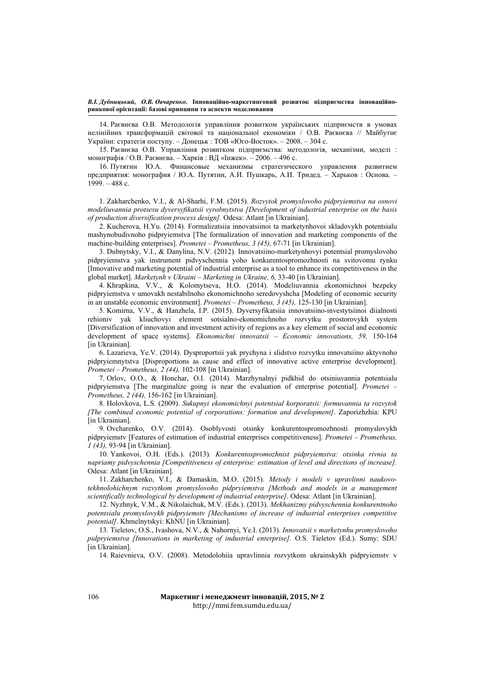14. Раєвнєва О.В. Методологія управління розвитком українських підприємств в умовах нелінійних трансформацій світової та національної економіки / О.В. Раєвнєва // Майбутнє України: стратегія поступу. – Донецьк : ТОВ «Юго-Восток». – 2008. – 304 с.

15. Раєвнєва О.В. Управління розвитком підприємства: методологія, механізми, моделі : монографія / О.В. Раєвнєва. – Харків : ВД «Інжек». – 2006. – 496 с.

16. Путятин Ю.А. Финансовые механизмы стратегического управления развитием предприятия: монография / Ю.А. Путятин, А.И. Пушкарь, А.И. Тридед. – Харьков : Основа. –  $1999. - 488$  c.

1. Zakharchenko, V.I., & Al-Sharhi, F.M. (2015). *Rozvytok promyslovoho pidpryiemstva na osnovi modeliuvannia protsesu dyversyfikatsii vyrobnytstva [Development of industrial enterprise on the basis of production diversification process design].* Odesa: Atlant [in Ukrainian].

2. Kucherova, H.Yu. (2014). Formalizatsiia innovatsiinoi ta marketynhovoi skladovykh potentsialu mashynobudivnoho pidpryiemstva [The formalization of innovation and marketing components of the machine-building enterprises]. *Prometei – Prometheus, 3 (45),* 67-71 [in Ukrainian].

3. Dubnytsky, V.I., & Danylina, N.V. (2012). Innovatsiino-marketynhovyi potentsial promyslovoho pidpryiemstva yak instrument pidvyschennia yoho konkurentospromozhnosti na svitovomu rynku [Innovative and marketing potential of industrial enterprise as a tool to enhance its competitiveness in the global market]. *Marketynh v Ukraini – Marketing in Ukraine, 6,* 33-40 [in Ukrainian].

4. Khrapkina, V.V., & Kolomytseva, H.O. (2014). Modeliuvannia ekonomichnoi bezpeky pidpryiemstva v umovakh nestabilnoho ekonomichnoho seredovyshcha [Modeling of economic security in an unstable economic environment]. *Prometei – Prometheus, 3 (45),* 125-130 [in Ukrainian].

5. Komirna, V.V., & Hanzhela, I.P. (2015). Dyversyfikatsiia innovatsiino-investytsiinoi diialnosti rehioniv yak kliuchovyi element sotsialno-ekonomichnoho rozvytku prostorovykh system [Diversification of innovation and investment activity of regions as a key element of social and economic development of space systems]. *Ekonomichni innovatsii – Economic innovations, 59,* 150-164 [in Ukrainian].

6. Lazarieva, Ye.V. (2014). Dysproportsii yak prychyna i slidstvo rozvytku innovatsiino aktyvnoho pidpryiemnytstva [Disproportions as cause and effect of innovative active enterprise development]. *Prometei – Prometheus, 2 (44),* 102-108 [in Ukrainian].

7. Orlov, O.O., & Honchar, O.I. (2014). Marzhynalnyi pidkhid do otsiniuvannia potentsialu pidpryiemstva [The marginalize going is near the evaluation of enterprise potential]. *Prometei – Prometheus, 2 (44),* 156-162 [in Ukrainian].

8. Holovkova, L.S. (2009). *Sukupnyi ekonomichnyi potentsial korporatsii: formuvannia ta rozvytok [The combined economic potential of corporations: formation and development]*. Zaporizhzhia: KPU [in Ukrainian].

9. Ovcharenko, O.V. (2014). Osoblyvosti otsinky konkurentospromozhnosti promyslovykh pidpryiemstv [Features of estimation of industrial enterprises competitiveness]. *Prometei – Prometheus, 1 (43),* 93-94 [in Ukrainian].

10. Yankovoi, O.H. (Eds.). (2013)*. Konkurentospromozhnist pidpryiemstva: otsinka rivnia ta napriamy pidvyschennia [Competitiveness of enterprise: estimation of level and directions of increase].* Odesa: Atlant [in Ukrainian].

11. Zakharchenko, V.I., & Damaskin, M.O. (2015). *Metody i modeli v upravlinni naukovotekhnolohichnym rozvytkom promyslovoho pidpryiemstva [Methods and models in a management scientifically technological by development of industrial enterprise]*. Odesa: Atlant [in Ukrainian].

12. Nyzhnyk, V.M., & Nikolaіchuk, M.V. (Eds.). (2013). *Mekhanizmy pidvyschennia konkurentnoho potentsialu promyslovykh pidpryiemstv [Mechanisms of increase of industrial enterprises competitive potential]*. Khmelnytskyi: KhNU [in Ukrainian].

13. Tieletov, O.S., Ivashova, N.V., & Nahornyi, Ye.I. (2013). *Innovatsii v marketynhu promyslovoho pidpryiemstva [Innovations in marketing of industrial enterprise].* O.S. Tieletov (Ed.). Sumy: SDU [in Ukrainian].

14. Raievnieva, O.V. (2008). Metodolohiia upravlinnia rozvytkom ukrainskykh pidpryiemstv v